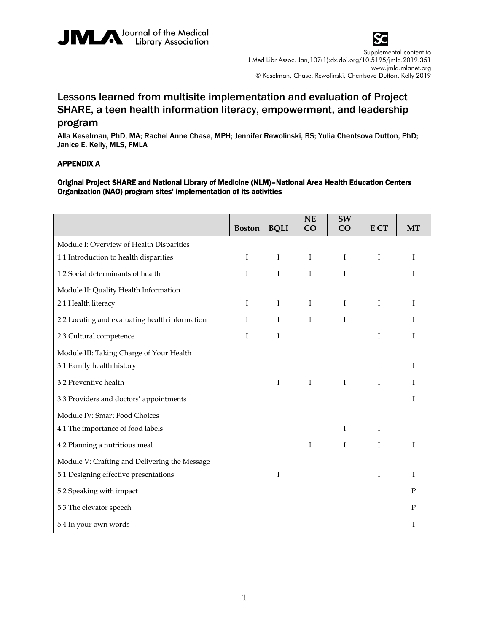



Supplemental content to J Med Libr Assoc. Jan;107(1):dx.doi.org/10.5195/jmla.2019.351 www.jmla.mlanet.org © Keselman, Chase, Rewolinski, Chentsova Dutton, Kelly 2019

## Lessons learned from multisite implementation and evaluation of Project SHARE, a teen health information literacy, empowerment, and leadership

## program

Alla Keselman, PhD, MA; Rachel Anne Chase, MPH; Jennifer Rewolinski, BS; Yulia Chentsova Dutton, PhD; Janice E. Kelly, MLS, FMLA

## APPENDIX A

## Original Project SHARE and National Library of Medicine (NLM)–National Area Health Education Centers Organization (NAO) program sites' implementation of its activities

|                                                | <b>Boston</b> | <b>BQLI</b> | NE<br>CO    | SW<br>CO    | E CT        | <b>MT</b> |
|------------------------------------------------|---------------|-------------|-------------|-------------|-------------|-----------|
| Module I: Overview of Health Disparities       |               |             |             |             |             |           |
| 1.1 Introduction to health disparities         | Ι             | Ι           | $\mathbf I$ | $\mathbf I$ | Ι           | Ι         |
| 1.2 Social determinants of health              | $\bf{I}$      | $\rm I$     | $\rm I$     | $\rm I$     | I           | I         |
| Module II: Quality Health Information          |               |             |             |             |             |           |
| 2.1 Health literacy                            | Ι             | $\mathbf I$ | $\mathbf I$ | $\mathbf I$ | $\mathbf I$ | Ι         |
| 2.2 Locating and evaluating health information | $\mathbf I$   | $\mathbf I$ | $\mathbf I$ | $\rm I$     | $\mathbf I$ | I         |
| 2.3 Cultural competence                        | I             | I           |             |             | I           | I         |
| Module III: Taking Charge of Your Health       |               |             |             |             |             |           |
| 3.1 Family health history                      |               |             |             |             | I           | I         |
| 3.2 Preventive health                          |               | I           | $\bf{I}$    | $\mathbf I$ | I           | I         |
| 3.3 Providers and doctors' appointments        |               |             |             |             |             | T         |
| Module IV: Smart Food Choices                  |               |             |             |             |             |           |
| 4.1 The importance of food labels              |               |             |             | $\bf{I}$    | Ι           |           |
| 4.2 Planning a nutritious meal                 |               |             | $\rm I$     | $\rm I$     | I           | I         |
| Module V: Crafting and Delivering the Message  |               |             |             |             |             |           |
| 5.1 Designing effective presentations          |               | Ι           |             |             | I           | Ι         |
| 5.2 Speaking with impact                       |               |             |             |             |             | P         |
| 5.3 The elevator speech                        |               |             |             |             |             | P         |
| 5.4 In your own words                          |               |             |             |             |             | I         |